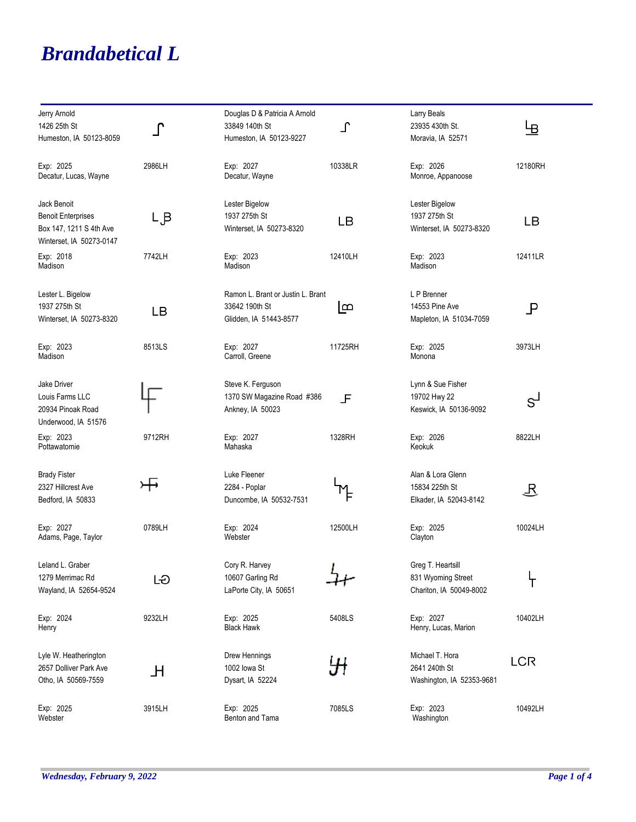## *Brandabetical L*

| Jerry Arnold<br>1426 25th St<br>Humeston, IA 50123-8059                                         | r      | Douglas D & Patricia A Arnold<br>33849 140th St<br>Humeston, IA 50123-9227    | $\Gamma$ | Larry Beals<br>23935 430th St.<br>Moravia, IA 52571                | 巴                |
|-------------------------------------------------------------------------------------------------|--------|-------------------------------------------------------------------------------|----------|--------------------------------------------------------------------|------------------|
| Exp: 2025<br>Decatur, Lucas, Wayne                                                              | 2986LH | Exp: 2027<br>Decatur, Wayne                                                   | 10338LR  | Exp: 2026<br>Monroe, Appanoose                                     | 12180RH          |
| Jack Benoit<br><b>Benoit Enterprises</b><br>Box 147, 1211 S 4th Ave<br>Winterset, IA 50273-0147 | Lβ     | Lester Bigelow<br>1937 275th St<br>Winterset, IA 50273-8320                   | LВ       | Lester Bigelow<br>1937 275th St<br>Winterset, IA 50273-8320        | LВ               |
| Exp: 2018<br>Madison                                                                            | 7742LH | Exp: 2023<br>Madison                                                          | 12410LH  | Exp: 2023<br>Madison                                               | 12411LR          |
| Lester L. Bigelow<br>1937 275th St<br>Winterset, IA 50273-8320                                  | LВ     | Ramon L. Brant or Justin L. Brant<br>33642 190th St<br>Glidden, IA 51443-8577 | ഥ്ര      | L P Brenner<br>14553 Pine Ave<br>Mapleton, IA 51034-7059           | $\mathsf P$      |
| Exp: 2023<br>Madison                                                                            | 8513LS | Exp: 2027<br>Carroll, Greene                                                  | 11725RH  | Exp: 2025<br>Monona                                                | 3973LH           |
| Jake Driver<br>Louis Farms LLC<br>20934 Pinoak Road<br>Underwood, IA 51576                      |        | Steve K. Ferguson<br>1370 SW Magazine Road #386<br>Ankney, IA 50023           | 上        | Lynn & Sue Fisher<br>19702 Hwy 22<br>Keswick, IA 50136-9092        | $S^{\mathsf{I}}$ |
| Exp: 2023<br>Pottawatomie                                                                       | 9712RH | Exp: 2027<br>Mahaska                                                          | 1328RH   | Exp: 2026<br>Keokuk                                                | 8822LH           |
| <b>Brady Fister</b><br>2327 Hillcrest Ave<br>Bedford, IA 50833                                  | ਮਾ     | Luke Fleener<br>2284 - Poplar<br>Duncombe, IA 50532-7531                      |          | Alan & Lora Glenn<br>15834 225th St<br>Elkader, IA 52043-8142      | B                |
| Exp: 2027<br>Adams, Page, Taylor                                                                | 0789LH | Exp: 2024<br>Webster                                                          | 12500LH  | Exp: 2025<br>Clayton                                               | 10024LH          |
| Leland L. Graber<br>1279 Merrimac Rd<br>Wayland, IA 52654-9524                                  | LÐ     | Cory R. Harvey<br>10607 Garling Rd<br>LaPorte City, IA 50651                  |          | Greg T. Heartsill<br>831 Wyoming Street<br>Chariton, IA 50049-8002 | ፐ                |
| Exp: 2024<br>Henry                                                                              | 9232LH | Exp: 2025<br><b>Black Hawk</b>                                                | 5408LS   | Exp: 2027<br>Henry, Lucas, Marion                                  | 10402LH          |
| Lyle W. Heatherington<br>2657 Dolliver Park Ave<br>Otho, IA 50569-7559                          | H      | Drew Hennings<br>1002 lowa St<br>Dysart, IA 52224                             |          | Michael T. Hora<br>2641 240th St<br>Washington, IA 52353-9681      | <b>LCR</b>       |
| Exp: 2025<br>Webster                                                                            | 3915LH | Exp: 2025<br>Benton and Tama                                                  | 7085LS   | Exp: 2023<br>Washington                                            | 10492LH          |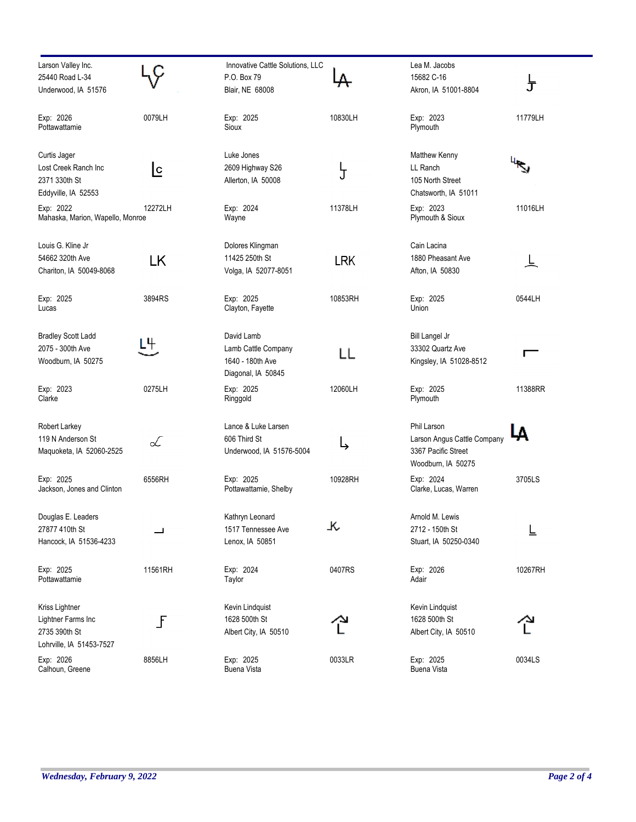| Larson Valley Inc.<br>25440 Road L-34<br>Underwood, IA 51576                      |              | Innovative Cattle Solutions, LLC<br>P.O. Box 79<br>Blair, NE 68008          |            | Lea M. Jacobs<br>15682 C-16<br>Akron, IA 51001-8804                                     | 仧       |
|-----------------------------------------------------------------------------------|--------------|-----------------------------------------------------------------------------|------------|-----------------------------------------------------------------------------------------|---------|
| Exp: 2026<br>Pottawattamie                                                        | 0079LH       | Exp: 2025<br>Sioux                                                          | 10830LH    | Exp: 2023<br>Plymouth                                                                   | 11779LH |
| Curtis Jager<br>Lost Creek Ranch Inc<br>2371 330th St<br>Eddyville, IA 52553      | <u>lc</u>    | Luke Jones<br>2609 Highway S26<br>Allerton, IA 50008                        | ჯ          | Matthew Kenny<br>LL Ranch<br>105 North Street<br>Chatsworth, IA 51011                   |         |
| Exp: 2022<br>Mahaska, Marion, Wapello, Monroe                                     | 12272LH      | Exp: 2024<br>Wayne                                                          | 11378LH    | Exp: 2023<br>Plymouth & Sioux                                                           | 11016LH |
| Louis G. Kline Jr<br>54662 320th Ave<br>Chariton, IA 50049-8068                   | <b>LK</b>    | Dolores Klingman<br>11425 250th St<br>Volga, IA 52077-8051                  | <b>LRK</b> | Cain Lacina<br>1880 Pheasant Ave<br>Afton, IA 50830                                     |         |
| Exp: 2025<br>Lucas                                                                | 3894RS       | Exp: 2025<br>Clayton, Fayette                                               | 10853RH    | Exp: 2025<br>Union                                                                      | 0544LH  |
| <b>Bradley Scott Ladd</b><br>2075 - 300th Ave<br>Woodburn, IA 50275               | L4           | David Lamb<br>Lamb Cattle Company<br>1640 - 180th Ave<br>Diagonal, IA 50845 | LL         | Bill Langel Jr<br>33302 Quartz Ave<br>Kingsley, IA 51028-8512                           | г       |
| Exp: 2023<br>Clarke                                                               | 0275LH       | Exp: 2025<br>Ringgold                                                       | 12060LH    | Exp: 2025<br>Plymouth                                                                   | 11388RR |
| Robert Larkey<br>119 N Anderson St<br>Maquoketa, IA 52060-2525                    | L            | Lance & Luke Larsen<br>606 Third St<br>Underwood, IA 51576-5004             | ←          | Phil Larson<br>Larson Angus Cattle Company<br>3367 Pacific Street<br>Woodburn, IA 50275 |         |
| Exp: 2025<br>Jackson, Jones and Clinton                                           | 6556RH       | Exp: 2025<br>Pottawattamie, Shelby                                          | 10928RH    | Exp: 2024<br>Clarke, Lucas, Warren                                                      | 3705LS  |
| Douglas E. Leaders<br>27877 410th St<br>Hancock, IA 51536-4233                    |              | Kathryn Leonard<br>1517 Tennessee Ave<br>Lenox, IA 50851                    | 火          | Arnold M. Lewis<br>2712 - 150th St<br>Stuart, IA 50250-0340                             | ╚       |
| Exp: 2025<br>Pottawattamie                                                        | 11561RH      | Exp: 2024<br>Taylor                                                         | 0407RS     | Exp: 2026<br>Adair                                                                      | 10267RH |
| Kriss Lightner<br>Lightner Farms Inc<br>2735 390th St<br>Lohrville, IA 51453-7527 | $\mathbf{F}$ | Kevin Lindquist<br>1628 500th St<br>Albert City, IA 50510                   |            | Kevin Lindquist<br>1628 500th St<br>Albert City, IA 50510                               |         |
| Exp: 2026<br>Calhoun, Greene                                                      | 8856LH       | Exp: 2025<br><b>Buena Vista</b>                                             | 0033LR     | Exp: 2025<br>Buena Vista                                                                | 0034LS  |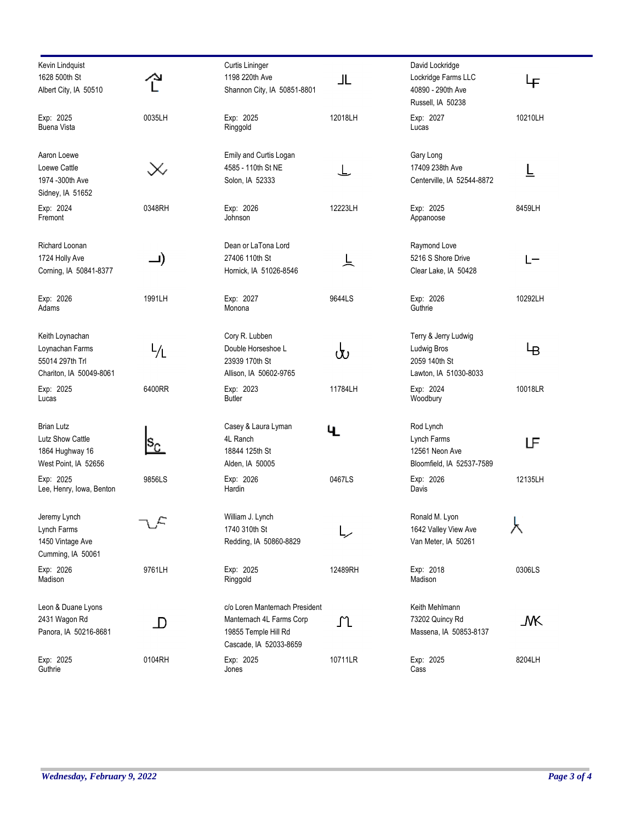| Kevin Lindquist<br>1628 500th St<br>Albert City, IA 50510                        |                         | Curtis Lininger<br>1198 220th Ave<br>Shannon City, IA 50851-8801                                             | 」L      | David Lockridge<br>Lockridge Farms LLC<br>40890 - 290th Ave<br>Russell, IA 50238 | Ψ       |
|----------------------------------------------------------------------------------|-------------------------|--------------------------------------------------------------------------------------------------------------|---------|----------------------------------------------------------------------------------|---------|
| Exp: 2025<br><b>Buena Vista</b>                                                  | 0035LH                  | Exp: 2025<br>Ringgold                                                                                        | 12018LH | Exp: 2027<br>Lucas                                                               | 10210LH |
| Aaron Loewe<br>Loewe Cattle<br>1974 -300th Ave<br>Sidney, IA 51652               |                         | Emily and Curtis Logan<br>4585 - 110th St NE<br>Solon, IA 52333                                              | ┶       | Gary Long<br>17409 238th Ave<br>Centerville, IA 52544-8872                       | ╚       |
| Exp: 2024<br>Fremont                                                             | 0348RH                  | Exp: 2026<br>Johnson                                                                                         | 12223LH | Exp: 2025<br>Appanoose                                                           | 8459LH  |
| Richard Loonan<br>1724 Holly Ave<br>Corning, IA 50841-8377                       | —)                      | Dean or LaTona Lord<br>27406 110th St<br>Hornick, IA 51026-8546                                              | 上       | Raymond Love<br>5216 S Shore Drive<br>Clear Lake, IA 50428                       | L-      |
| Exp: 2026<br>Adams                                                               | 1991LH                  | Exp: 2027<br>Monona                                                                                          | 9644LS  | Exp: 2026<br>Guthrie                                                             | 10292LH |
| Keith Loynachan<br>Loynachan Farms<br>55014 297th Trl<br>Chariton, IA 50049-8061 |                         | Cory R. Lubben<br>Double Horseshoe L<br>23939 170th St<br>Allison, IA 50602-9765                             | ს       | Terry & Jerry Ludwig<br>Ludwig Bros<br>2059 140th St<br>Lawton, IA 51030-8033    | Ψв      |
| Exp: 2025<br>Lucas                                                               | 6400RR                  | Exp: 2023<br><b>Butler</b>                                                                                   | 11784LH | Exp: 2024<br>Woodbury                                                            | 10018LR |
| <b>Brian Lutz</b><br>Lutz Show Cattle<br>1864 Hughway 16<br>West Point, IA 52656 | $\mathbf{s}_\mathrm{c}$ | Casey & Laura Lyman<br>4L Ranch<br>18844 125th St<br>Alden, IA 50005                                         | 4.      | Rod Lynch<br>Lynch Farms<br>12561 Neon Ave<br>Bloomfield, IA 52537-7589          | ப       |
| Exp: 2025<br>Lee, Henry, Iowa, Benton                                            | 9856LS                  | Exp: 2026<br>Hardin                                                                                          | 0467LS  | Exp: 2026<br>Davis                                                               | 12135LH |
| Jeremy Lynch<br>Lynch Farms<br>1450 Vintage Ave<br>Cumming, IA 50061             | L,                      | William J. Lynch<br>1740 310th St<br>Redding, IA 50860-8829                                                  |         | Ronald M. Lyon<br>1642 Valley View Ave<br>Van Meter, IA 50261                    | ⋏       |
| Exp: 2026<br>Madison                                                             | 9761LH                  | Exp: 2025<br>Ringgold                                                                                        | 12489RH | Exp: 2018<br>Madison                                                             | 0306LS  |
| Leon & Duane Lyons<br>2431 Wagon Rd<br>Panora, IA 50216-8681                     | $\mathbb D$             | c/o Loren Manternach President<br>Manternach 4L Farms Corp<br>19855 Temple Hill Rd<br>Cascade, IA 52033-8659 | ጊ       | Keith Mehlmann<br>73202 Quincy Rd<br>Massena, IA 50853-8137                      | _MK     |
| Exp: 2025<br>Guthrie                                                             | 0104RH                  | Exp: 2025<br>Jones                                                                                           | 10711LR | Exp: 2025<br>Cass                                                                | 8204LH  |